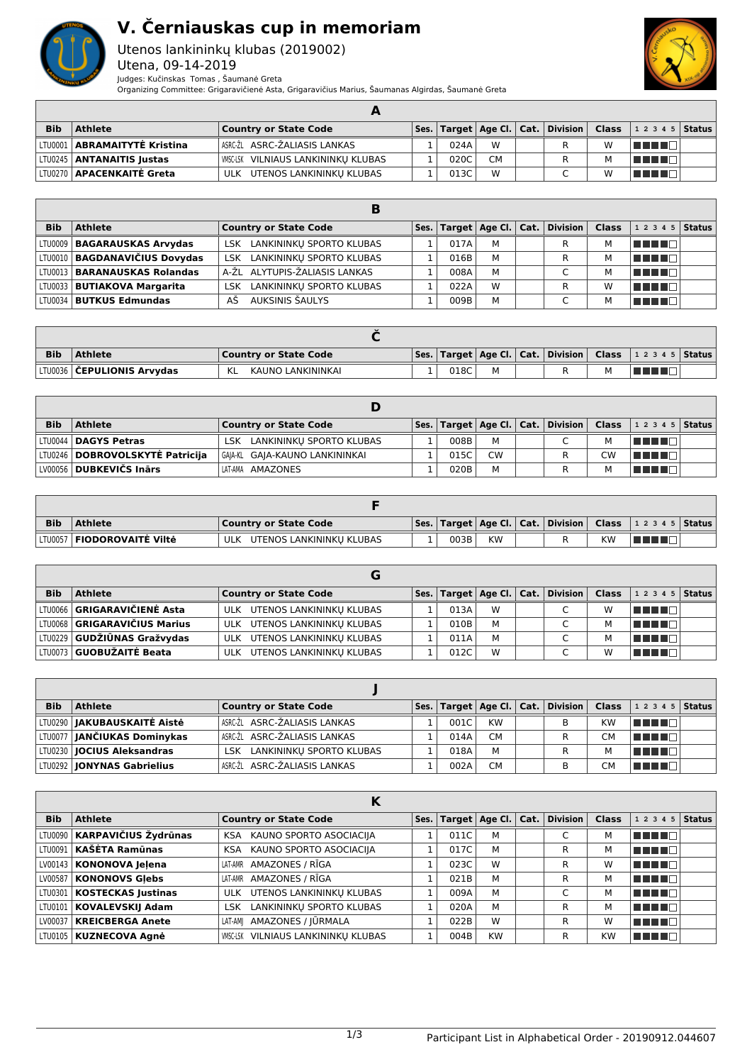

## **V. Černiauskas cup in memoriam**

Utenos lankininkų klubas (2019002) Utena, 09-14-2019



Judges: Kučinskas Tomas , Šaumanė Greta Organizing Committee: Grigaravičienė Asta, Grigaravičius Marius, Šaumanas Algirdas, Šaumanė Greta

| <b>Bib</b> | <b>Athlete</b>                     | <b>Country or State Code</b>               |      |           |  |   | $\mid$ Ses. $\mid$ Target $\mid$ Age Cl. $\mid$ Cat. $\mid$ Division $\mid$ Class $\mid$ 1 2 3 4 5 $\mid$ Status $\mid$ |  |
|------------|------------------------------------|--------------------------------------------|------|-----------|--|---|-------------------------------------------------------------------------------------------------------------------------|--|
|            | LTU0001   ABRAMAITYTĖ Kristina     | ∣ASRC-ŽL ASRC-ŽALIASIS LANKAS              | 024A | W         |  | W | TE E E                                                                                                                  |  |
|            | LTU0245   <b>ANTANAITIS Justas</b> | <b>WISC-LSK VILNIAUS LANKININKU KLUBAS</b> | 020C | <b>CM</b> |  |   | T DE L'I                                                                                                                |  |
|            | LTU0270   APACENKAITĖ Greta        | ULK UTENOS LANKININKU KLUBAS               | 013C | W         |  | W |                                                                                                                         |  |

| <b>Bib</b> | <b>Athlete</b>                        | <b>Country or State Code</b>           |      |   | $\mathsf{Ses.}$ Target   Age Cl.   Cat.   Division | <b>Class</b> | 1 2 3 4 5 Status |  |
|------------|---------------------------------------|----------------------------------------|------|---|----------------------------------------------------|--------------|------------------|--|
|            | LTU0009   BAGARAUSKAS Arvydas         | LSK LANKININKU SPORTO KLUBAS           | 017A | M | R                                                  |              | T E FIZ          |  |
|            | LTU0010   BAGDANAVIČIUS Dovydas       | LSK LANKININKU SPORTO KLUBAS           | 016B | M | R                                                  |              | TE E E E         |  |
|            | LTU0013   <b>BARANAUSKAS Rolandas</b> | A-ŽL ALYTUPIS-ŽALIASIS LANKAS          | 008A | M | $\sqrt{2}$                                         | М            | n din bin        |  |
|            | LTU0033   BUTIAKOVA Margarita         | LANKININKU SPORTO KLUBAS<br><b>LSK</b> | 022A | W | R                                                  | W            | n din se         |  |
|            | LTV0034   <b>BUTKUS Edmundas</b>      | AUKSINIS ŠAULYS<br>ΑŠ                  | 009B | M |                                                    |              | n din Fi         |  |

| <b>Bib</b> | <b>Athlete</b>                      | <b>Country or State Code</b> |      |   |  | Ses.   Target   Age Cl.   Cat.   Division   Class   1 2 3 4 5   Status |  |
|------------|-------------------------------------|------------------------------|------|---|--|------------------------------------------------------------------------|--|
|            | LTU0036 <b>  ČEPULIONIS Arvydas</b> | KAUNO LANKININKAI            | 018C | м |  |                                                                        |  |

| <b>Bib</b> | <b>Athlete</b>                    | <b>Country or State Code</b>   |      |           |  |    | $ $ Ses.   Target   Age Cl.   Cat.   Division   Class   1 2 3 4 5   Status |  |
|------------|-----------------------------------|--------------------------------|------|-----------|--|----|----------------------------------------------------------------------------|--|
|            | LTU0044   DAGYS Petras            | LSK LANKININKU SPORTO KLUBAS   | 008B | м         |  | M  | TE E E E                                                                   |  |
|            | LTU0246   DOBROVOLSKYTĖ Patricija | GA A-KL GA A-KAUNO LANKININKAI | 015C | <b>CW</b> |  | CW | TE E E                                                                     |  |
|            | LV00056 <b>  DUBKEVIČS Inārs</b>  | LAT-AMA AMAZONES               | 020B | М         |  | M  | TE ELET                                                                    |  |

| <b>Bib</b> | Athlete                             | Country or State Code        |      |           |  |           | Ses.   Target   Age Cl.   Cat.   Division   Class   1 2 3 4 5   Status |  |
|------------|-------------------------------------|------------------------------|------|-----------|--|-----------|------------------------------------------------------------------------|--|
|            | LTU0057   <b>FIODOROVAITĖ Viltė</b> | ULK UTENOS LANKININKU KLUBAS | 003B | <b>KW</b> |  | <b>KW</b> | TE E E                                                                 |  |

| <b>Bib</b> | <b>Athlete</b>                      | <b>Country or State Code</b> |      |   | Ses. Target   Age Cl.   Cat.   Division | <b>Class</b> | $12345$ Status |  |
|------------|-------------------------------------|------------------------------|------|---|-----------------------------------------|--------------|----------------|--|
|            | LTU0066 <b>GRIGARAVIČIENĖ Asta</b>  | ULK UTENOS LANKININKU KLUBAS | 013A | W |                                         | w            | n din Film     |  |
|            | LTV0068 <b>GRIGARAVIČIUS Marius</b> | ULK UTENOS LANKININKU KLUBAS | 010B | M | $\overline{ }$                          |              | TITI E         |  |
|            | LTV0229 GUDŽIŪNAS Gražvydas         | ULK UTENOS LANKININKU KLUBAS | 011A | M | $\sqrt{2}$                              |              | T FIFIT T      |  |
|            | LTU0073 <b>GUOBUŽAITĖ Beata</b>     | ULK UTENOS LANKININKU KLUBAS | 012C | W |                                         | w            | T FIFT         |  |

| <b>Bib</b> | <b>Athlete</b>                       | <b>Country or State Code</b> |      |           | Ses.   Target   Age Cl.   Cat.   Division   Class |           | $12345$ Status |  |
|------------|--------------------------------------|------------------------------|------|-----------|---------------------------------------------------|-----------|----------------|--|
|            | LTU0290   JAKUBAUSKAITĖ Aistė        | ASRC-ŽL ASRC-ŽALIASIS LANKAS | 001C | <b>KW</b> | в                                                 | <b>KW</b> | TE E E         |  |
|            | LTU0077 <b>  JANČIUKAS Dominykas</b> | ASRC-ŽL ASRC-ŽALIASIS LANKAS | 014A | <b>CM</b> |                                                   | CМ        | T FIFTI T      |  |
|            | LTU0230   <b>JOCIUS Aleksandras</b>  | LSK LANKININKU SPORTO KLUBAS | 018A | M         |                                                   | М         | TELEL          |  |
|            | LTU0292   JONYNAS Gabrielius         | ASRC-ŽL ASRC-ŽALIASIS LANKAS | 002A | <b>CM</b> | В                                                 | СM        | T E FE         |  |

|            | κ                              |                                            |      |      |                             |  |          |              |            |               |  |
|------------|--------------------------------|--------------------------------------------|------|------|-----------------------------|--|----------|--------------|------------|---------------|--|
| <b>Bib</b> | <b>Athlete</b>                 | <b>Country or State Code</b>               | Ses. |      | Target $ $ Age Cl. $ $ Cat. |  | Division | <b>Class</b> | 1 2 3 4 5  | <b>Status</b> |  |
|            | LTU0090   KARPAVIČIUS Žydrūnas | KAUNO SPORTO ASOCIACIJA<br>KSA.            |      | 011C | М                           |  |          | м            | TE DE L    |               |  |
| LTU0091    | l KAŠĖTA Ramūnas               | KSA KAUNO SPORTO ASOCIACIJA                |      | 017C | М                           |  | R        | м            | TE E E E   |               |  |
|            | LV00143   KONONOVA Jelena      | LAT-AMR AMAZONES / RĪGA                    |      | 023C | W                           |  | R        | W            | TI TITLE   |               |  |
|            | LV00587   KONONOVS Glebs       | LAT-AMR AMAZONES / RĪGA                    |      | 021B | М                           |  | R        | м            | TI TI D    |               |  |
|            | LTU0301   KOSTECKAS Justinas   | ULK UTENOS LANKININKU KLUBAS               |      | 009A | М                           |  | C        | м            | TE ELECT   |               |  |
|            | LTU0101   KOVALEVSKIJ Adam     | LSK LANKININKŲ SPORTO KLUBAS               |      | 020A | М                           |  | R        | м            | TITI DI LI |               |  |
| LV00037    | <b>KREICBERGA Anete</b>        | LAT-AM  AMAZONES / JŪRMALA                 |      | 022B | W                           |  | R        | W            | TE EL T    |               |  |
|            | LTU0105   KUZNECOVA Agné       | <b>WISC-LSK VILNIAUS LANKININKU KLUBAS</b> |      | 004B | <b>KW</b>                   |  | R        | <b>KW</b>    | T FIFTIT F |               |  |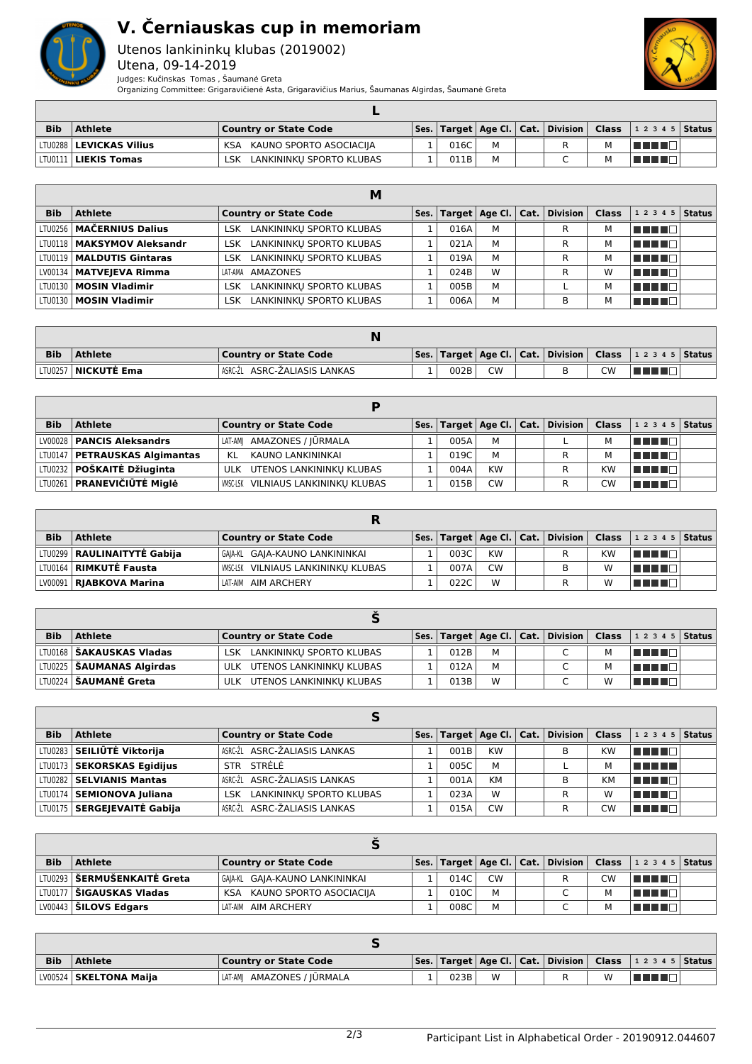

## **V. Černiauskas cup in memoriam**

Utenos lankininkų klubas (2019002) Utena, 09-14-2019 Judges: Kučinskas Tomas , Šaumanė Greta



Organizing Committee: Grigaravičienė Asta, Grigaravičius Marius, Šaumanas Algirdas, Šaumanė Greta

| <b>Bib</b> | <b>Athlete</b>                   | Country or State Code           |      |  |  | Ses.   Target   Age Cl.   Cat.   Division   Class   1 2 3 4 5   Status                                        |  |
|------------|----------------------------------|---------------------------------|------|--|--|---------------------------------------------------------------------------------------------------------------|--|
|            | LTU0288 <b>  LEVICKAS Vilius</b> | KSA KAUNO SPORTO ASOCIACIJA     | 016C |  |  | l Titologia e a segundo de la propia de la propia de la propia de la propia de la propia de la propia de la p |  |
|            | LTV0111 <b>  LIEKIS Tomas</b>    | LANKININKU SPORTO KLUBAS<br>∟SK | 011B |  |  |                                                                                                               |  |

|            |                              | M                               |      |   |                                                   |   |                    |  |
|------------|------------------------------|---------------------------------|------|---|---------------------------------------------------|---|--------------------|--|
| <b>Bib</b> | <b>Athlete</b>               | <b>Country or State Code</b>    |      |   | Ses.   Target   Age Cl.   Cat.   Division   Class |   | 1 2 3 4 5   Status |  |
|            | LTU0256   MAČERNIUS Dalius   | LSK LANKININKU SPORTO KLUBAS    | 016A | м |                                                   | М | THE EL             |  |
|            | LTU0118   MAKSYMOV Aleksandr | LSK LANKININKU SPORTO KLUBAS    | 021A | M |                                                   | М | TITI TITI          |  |
|            | LTU0119   MALDUTIS Gintaras  | LSK LANKININKU SPORTO KLUBAS    | 019A | M |                                                   | М | THE LIFE           |  |
|            | LV00134   MATVEJEVA Rimma    | LAT-AMA AMAZONES                | 024B | W | R                                                 | W | TELEM              |  |
|            | LTU0130   MOSIN Vladimir     | LANKININKU SPORTO KLUBAS<br>LSK | 005B | M |                                                   | М | THE LE             |  |
|            | LTU0130   MOSIN Vladimir     | LSK LANKININKU SPORTO KLUBAS    | 006A | M | в                                                 | М | TE E E             |  |

| <b>Bib</b> | <b>Athlete</b>               | Country or State Code        |      |           |  |    | Ses.   Target   Age Cl.   Cat.   Division   Class   1 2 3 4 5   Status |  |
|------------|------------------------------|------------------------------|------|-----------|--|----|------------------------------------------------------------------------|--|
|            | LTV0257 <b>  NICKUTĖ Ema</b> | ASRC-ŽL ASRC-ŽALIASIS LANKAS | 002B | <b>CW</b> |  | CW | <b>THE EXI</b>                                                         |  |

| <b>Bib</b> | <b>Athlete</b>                    | <b>Country or State Code</b>               |      |           | Ses.   Target   Age Cl.   Cat.   Division   Class |           | $ 12345 $ Status |  |
|------------|-----------------------------------|--------------------------------------------|------|-----------|---------------------------------------------------|-----------|------------------|--|
|            | LV00028   PANCIS Aleksandrs       | LAT-AMI AMAZONES / IŪRMALA                 | 005A | M         |                                                   | м         | man man          |  |
|            | LTU0147   PETRAUSKAS Algimantas   | KAUNO LANKININKAI<br>KL                    | 019C | M         |                                                   | м         | TELEL            |  |
|            | LTU0232 <b>POŠKAITĖ Džiuginta</b> | ULK UTENOS LANKININKU KLUBAS               | 004A | <b>KW</b> |                                                   | <b>KW</b> | l Titolin T      |  |
|            | LTU0261 <b>PRANEVIČIŪTĖ Miglė</b> | <b>WISC-LSK VILNIAUS LANKININKU KLUBAS</b> | 015B | <b>CW</b> |                                                   | <b>CW</b> | TE ELEC          |  |

| <b>Bib</b> | <b>Athlete</b>                | <b>Country or State Code</b>        |  |      |           |  | Ses.   Target   Age Cl.   Cat.   Division   Class |           | $12345$ Status |  |  |  |
|------------|-------------------------------|-------------------------------------|--|------|-----------|--|---------------------------------------------------|-----------|----------------|--|--|--|
|            | LTU0299   RAULINAITYTĖ Gabija | GAIA-KL GAIA-KAUNO LANKININKAI      |  | 003C | <b>KW</b> |  |                                                   | <b>KW</b> | TE E E E       |  |  |  |
|            | LTU0164   RIMKUTĖ Fausta      | WISC-LSK VILNIAUS LANKININKU KLUBAS |  | 007A | <b>CW</b> |  |                                                   | W         | TE E E         |  |  |  |
|            | LV00091   RJABKOVA Marina     | LAT-AIM AIM ARCHERY                 |  | 022C | W         |  |                                                   | W         | TE ELECT       |  |  |  |

| <b>Bib</b> | <b>Athlete</b>                     | <b>Country or State Code</b>    |  |      |   |  |  |   | $ \mathsf{Ses.} \mathsf{Target} \mathsf{Age}\mathsf{Cl.} \mathsf{Cat.} \mathsf{Division} \mathsf{Class} $ 12345   Status |  |  |  |
|------------|------------------------------------|---------------------------------|--|------|---|--|--|---|--------------------------------------------------------------------------------------------------------------------------|--|--|--|
|            | LTU0168 <b>  ŠAKAUSKAS Vladas</b>  | LSK LANKININKU SPORTO KLUBAS    |  | 012B | м |  |  | м | TI TITLET                                                                                                                |  |  |  |
|            | LTU0225 <b>  ŠAUMANAS Algirdas</b> | ULK UTENOS LANKININKU KLUBAS    |  | 012A | М |  |  |   | TE E E                                                                                                                   |  |  |  |
|            | LTU0224   <b>ŠAUMANĖ Greta</b>     | UTENOS LANKININKU KLUBAS<br>ULK |  | 013B | W |  |  | W | TE E T                                                                                                                   |  |  |  |

| <b>Bib</b> | <b>Athlete</b>                     | <b>Country or State Code</b>    |  |      |           |  | Ses.   Target   Age Cl.   Cat.   Division | Class     | $12345$ Status |  |  |  |  |
|------------|------------------------------------|---------------------------------|--|------|-----------|--|-------------------------------------------|-----------|----------------|--|--|--|--|
|            | LTU0283 SEILIŪTĖ Viktorija         | ASRC-ŽL ASRC-ŽALIASIS LANKAS    |  | 001B | <b>KW</b> |  | в                                         | <b>KW</b> | <u>FFFFFF</u>  |  |  |  |  |
|            | LTV0173 <b>SEKORSKAS Egidijus</b>  | STR STRELE                      |  | 005C | м         |  |                                           | м         | n din bir      |  |  |  |  |
|            | LTU0282 SELVIANIS Mantas           | ASRC-ŽL ASRC-ŽALIASIS LANKAS    |  | 001A | <b>KM</b> |  | R                                         | KM        | n din bir      |  |  |  |  |
|            | LTU0174   SEMIONOVA Juliana        | LANKININKU SPORTO KLUBAS<br>LSK |  | 023A | W         |  | R                                         | W         | T FIFTI T      |  |  |  |  |
|            | LTV0175 <b>SERGEJEVAITĖ Gabija</b> | ASRC-ŽL ASRC-ŽALIASIS LANKAS    |  | 015A | <b>CW</b> |  | R                                         | CW        | TE ELECT       |  |  |  |  |

| <b>Bib</b> | <b>Athlete</b>                       | <b>Country or State Code</b>   |  |      |           |  |   |           | $ \mathsf{Ses.} \mathsf{Target} \mathsf{Age}\mathsf{Cl.} \mathsf{Cat.} \mathsf{Division} \mathsf{Class} $ 12345   Status |  |  |  |
|------------|--------------------------------------|--------------------------------|--|------|-----------|--|---|-----------|--------------------------------------------------------------------------------------------------------------------------|--|--|--|
|            | LTU0293 <b>  ŠERMUŠENKAITĖ Greta</b> | GAIA-KL GAIA-KAUNO LANKININKAI |  | 014C | <b>CW</b> |  |   | <b>CW</b> | TE E E E                                                                                                                 |  |  |  |
|            | LTV0177   ŠIGAUSKAS Vladas           | KSA KAUNO SPORTO ASOCIACIJA    |  | 010C | м         |  | ◡ | M         | TE E E                                                                                                                   |  |  |  |
|            | LV00443 <b>  ŠILOVS Edgars</b>       | LAT-AIM AIM ARCHERY            |  | 008C | М         |  |   | M         | TELED                                                                                                                    |  |  |  |

| <b>Bib</b> | <b>Athlete</b>           | <b>Country or State Code</b> |  |      |   |  |  |   | Ses.   Target   Age Cl.   Cat.   Division   Class   1 2 3 4 5   Status |  |
|------------|--------------------------|------------------------------|--|------|---|--|--|---|------------------------------------------------------------------------|--|
|            | LV00524   SKELTONA Maija | LAT-AMI AMAZONES / JŪRMALA   |  | 023B | W |  |  | W | T F ET                                                                 |  |

| 2/3 | Participant List in Alphabetical Order - 20190912.044607 |  |
|-----|----------------------------------------------------------|--|
|     |                                                          |  |